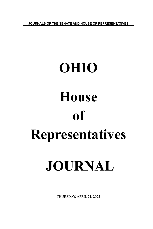**JOURNALS OF THE SENATE AND HOUSE OF REPRESENTATIVES**

## **OHIO House of Representatives JOURNAL**

THURSDAY, APRIL 21, 2022